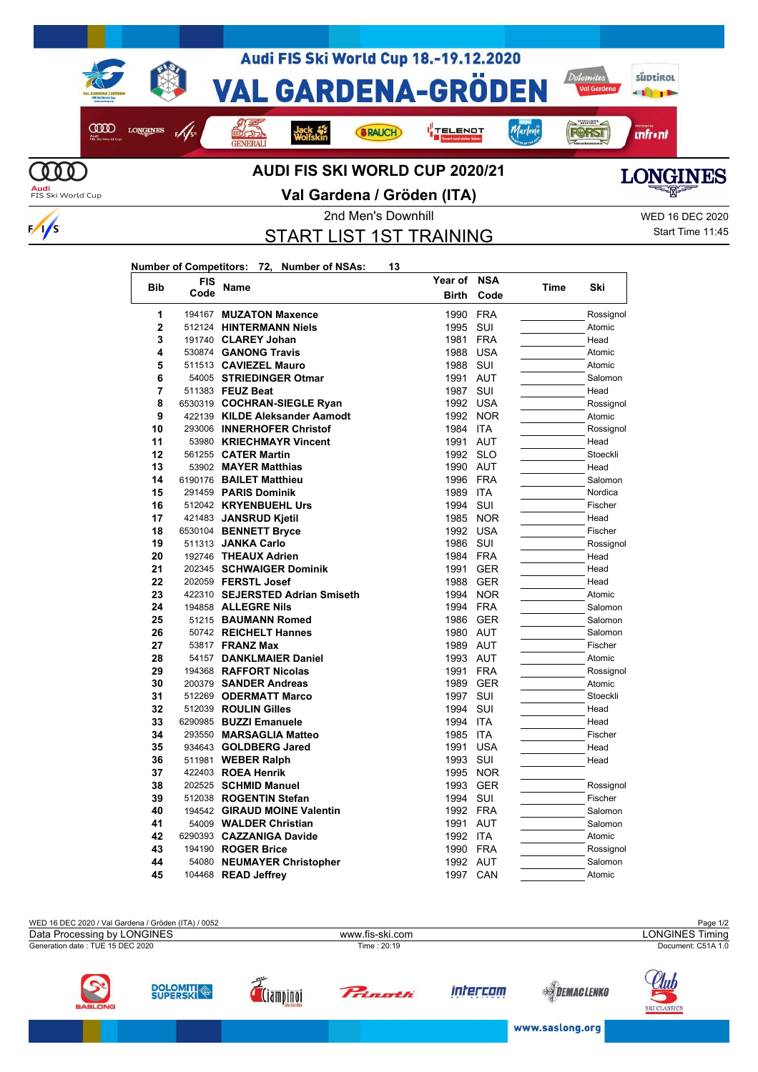

## **Val Gardena / Gröden (ITA)**



2nd Men's Downhill WED 16 DEC 2020

START LIST 1ST TRAINING

Start Time 11:45

## **Number of Competitors: 72, Number of NSAs: 13**

 $\frac{1}{s}$ 

| <b>Bib</b>     | <b>FIS</b><br>Code | Name                                     | Year of              | <b>NSA</b> | Time | Ski                 |
|----------------|--------------------|------------------------------------------|----------------------|------------|------|---------------------|
|                |                    |                                          | <b>Birth</b>         | Code       |      |                     |
| 1              |                    | 194167 MUZATON Maxence                   | 1990                 | <b>FRA</b> |      | Rossignol           |
| $\overline{2}$ |                    | 512124 HINTERMANN Niels                  | 1995                 | SUI        |      | Atomic              |
| 3              |                    | 191740 CLAREY Johan                      | 1981                 | <b>FRA</b> |      | Head                |
| 4              |                    | 530874 GANONG Travis                     | 1988                 | <b>USA</b> |      | Atomic              |
| 5              |                    | 511513 CAVIEZEL Mauro                    | 1988                 | SUI        |      | Atomic              |
| 6              |                    | 54005 STRIEDINGER Otmar                  | 1991                 | <b>AUT</b> |      | Salomon             |
| 7              |                    | 511383 FEUZ Beat                         | 1987                 | SUI        |      | Head                |
| 8              |                    | 6530319 COCHRAN-SIEGLE Ryan              | 1992                 | <b>USA</b> |      | Rossignol           |
| 9              |                    | 422139 KILDE Aleksander Aamodt           | 1992                 | <b>NOR</b> |      | Atomic              |
| 10             |                    | 293006 INNERHOFER Christof               | 1984                 | <b>ITA</b> |      | Rossignol           |
| 11             |                    | 53980 KRIECHMAYR Vincent                 | 1991                 | <b>AUT</b> |      | Head                |
| 12             |                    | 561255 <b>CATER Martin</b>               | 1992 SLO             |            |      | Stoeckli            |
| 13             |                    | 53902 MAYER Matthias                     | 1990 AUT             |            |      | Head                |
| 14             |                    | 6190176 BAILET Matthieu                  | 1996                 | <b>FRA</b> |      | Salomon             |
| 15             |                    | 291459 PARIS Dominik                     | 1989                 | ITA        |      | Nordica             |
| 16             |                    | 512042 KRYENBUEHL Urs                    | 1994                 | SUI        |      | Fischer             |
| 17             |                    | 421483 JANSRUD Kjetil                    | 1985                 | <b>NOR</b> |      | Head                |
| 18             |                    | 6530104 BENNETT Bryce                    | 1992                 | <b>USA</b> |      | Fischer             |
| 19             |                    | 511313 JANKA Carlo                       | 1986                 | SUI        |      | Rossignol           |
| 20             |                    | 192746 THEAUX Adrien                     | 1984                 | <b>FRA</b> |      | Head                |
| 21             |                    | 202345 SCHWAIGER Dominik                 | 1991                 | <b>GER</b> |      | Head                |
| 22             |                    | 202059 FERSTL Josef                      | 1988                 | <b>GER</b> |      | Head                |
| 23             |                    | 422310 SEJERSTED Adrian Smiseth          | 1994                 | <b>NOR</b> |      | Atomic              |
| 24             |                    | 194858 ALLEGRE Nils                      | 1994                 | <b>FRA</b> |      | Salomon             |
| 25<br>26       |                    | 51215 BAUMANN Romed                      | 1986                 | <b>GER</b> |      | Salomon             |
| 27             |                    | 50742 REICHELT Hannes<br>53817 FRANZ Max | 1980 AUT<br>1989 AUT |            |      | Salomon<br>Fischer  |
| 28             |                    | 54157 DANKLMAIER Daniel                  | 1993                 | <b>AUT</b> |      |                     |
| 29             |                    | 194368 RAFFORT Nicolas                   | 1991                 | <b>FRA</b> |      | Atomic              |
| 30             |                    | 200379 SANDER Andreas                    | 1989                 | <b>GER</b> |      | Rossignol<br>Atomic |
| 31             |                    | 512269 ODERMATT Marco                    | 1997                 | SUI        |      | Stoeckli            |
| 32             |                    | 512039 ROULIN Gilles                     | 1994                 | SUI        |      | Head                |
| 33             |                    | 6290985 BUZZI Emanuele                   | 1994                 | <b>ITA</b> |      | Head                |
| 34             |                    | 293550 MARSAGLIA Matteo                  | 1985                 | <b>ITA</b> |      | Fischer             |
| 35             |                    | 934643 GOLDBERG Jared                    | 1991                 | <b>USA</b> |      | Head                |
| 36             |                    | 511981 WEBER Ralph                       | 1993                 | SUI        |      | Head                |
| 37             |                    | 422403 ROEA Henrik                       | 1995                 | <b>NOR</b> |      |                     |
| 38             |                    | 202525 SCHMID Manuel                     | 1993                 | <b>GER</b> |      | Rossignol           |
| 39             |                    | 512038 ROGENTIN Stefan                   | 1994                 | SUI        |      | Fischer             |
| 40             |                    | 194542 GIRAUD MOINE Valentin             | 1992 FRA             |            |      | Salomon             |
| 41             |                    | 54009 WALDER Christian                   | 1991                 | <b>AUT</b> |      | Salomon             |
| 42             |                    | 6290393 CAZZANIGA Davide                 | 1992 ITA             |            |      | Atomic              |
| 43             |                    | 194190 ROGER Brice                       | 1990                 | <b>FRA</b> |      | Rossignol           |
| 44             |                    | 54080 NEUMAYER Christopher               | 1992 AUT             |            |      | Salomon             |
| 45             |                    | 104468 READ Jeffrey                      | 1997                 | CAN        |      | Atomic              |